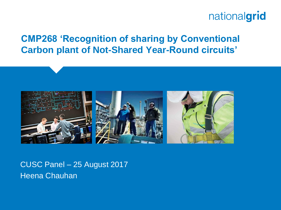#### **CMP268 'Recognition of sharing by Conventional Carbon plant of Not-Shared Year-Round circuits'**



CUSC Panel – 25 August 2017 Heena Chauhan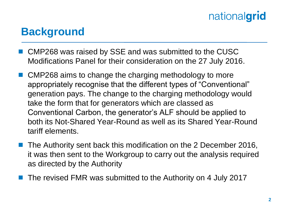### **Background**

- CMP268 was raised by SSE and was submitted to the CUSC Modifications Panel for their consideration on the 27 July 2016.
- CMP268 aims to change the charging methodology to more appropriately recognise that the different types of "Conventional" generation pays. The change to the charging methodology would take the form that for generators which are classed as Conventional Carbon, the generator's ALF should be applied to both its Not-Shared Year-Round as well as its Shared Year-Round tariff elements.
- The Authority sent back this modification on the 2 December 2016, it was then sent to the Workgroup to carry out the analysis required as directed by the Authority
- The revised FMR was submitted to the Authority on 4 July 2017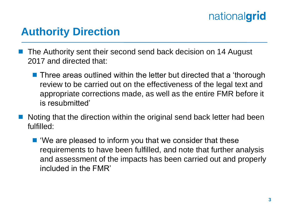### **Authority Direction**

- The Authority sent their second send back decision on 14 August 2017 and directed that:
	- Three areas outlined within the letter but directed that a 'thorough review to be carried out on the effectiveness of the legal text and appropriate corrections made, as well as the entire FMR before it is resubmitted'
- Noting that the direction within the original send back letter had been fulfilled:
	- 'We are pleased to inform you that we consider that these requirements to have been fulfilled, and note that further analysis and assessment of the impacts has been carried out and properly included in the FMR'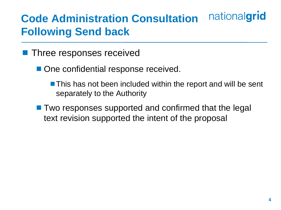#### nationalgrid **Code Administration Consultation Following Send back**

- **Three responses received** 
	- One confidential response received.
		- **This has not been included within the report and will be sent** separately to the Authority
	- Two responses supported and confirmed that the legal text revision supported the intent of the proposal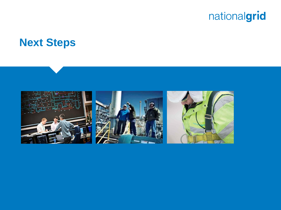#### **Next Steps**

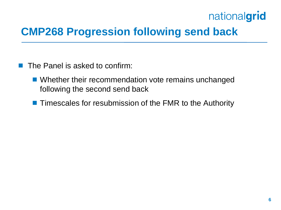## **CMP268 Progression following send back**

- $\blacksquare$  The Panel is asked to confirm:
	- **Number 19 Number 19 and 19 Number** 2016 Vibrahanged following the second send back
	- **Timescales for resubmission of the FMR to the Authority**